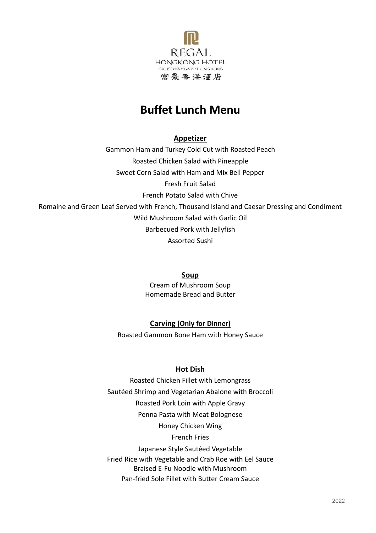

# **Buffet Lunch Menu**

**Appetizer**

Gammon Ham and Turkey Cold Cut with Roasted Peach Roasted Chicken Salad with Pineapple Sweet Corn Salad with Ham and Mix Bell Pepper Fresh Fruit Salad French Potato Salad with Chive Romaine and Green Leaf Served with French, Thousand Island and Caesar Dressing and Condiment Wild Mushroom Salad with Garlic Oil Barbecued Pork with Jellyfish Assorted Sushi

### **Soup**

Cream of Mushroom Soup Homemade Bread and Butter

# **Carving (Only for Dinner)**

Roasted Gammon Bone Ham with Honey Sauce

# **Hot Dish**

Roasted Chicken Fillet with Lemongrass Sautéed Shrimp and Vegetarian Abalone with Broccoli Roasted Pork Loin with Apple Gravy Penna Pasta with Meat Bolognese Honey Chicken Wing French Fries Japanese Style Sautéed Vegetable Fried Rice with Vegetable and Crab Roe with Eel Sauce Braised E-Fu Noodle with Mushroom Pan-fried Sole Fillet with Butter Cream Sauce